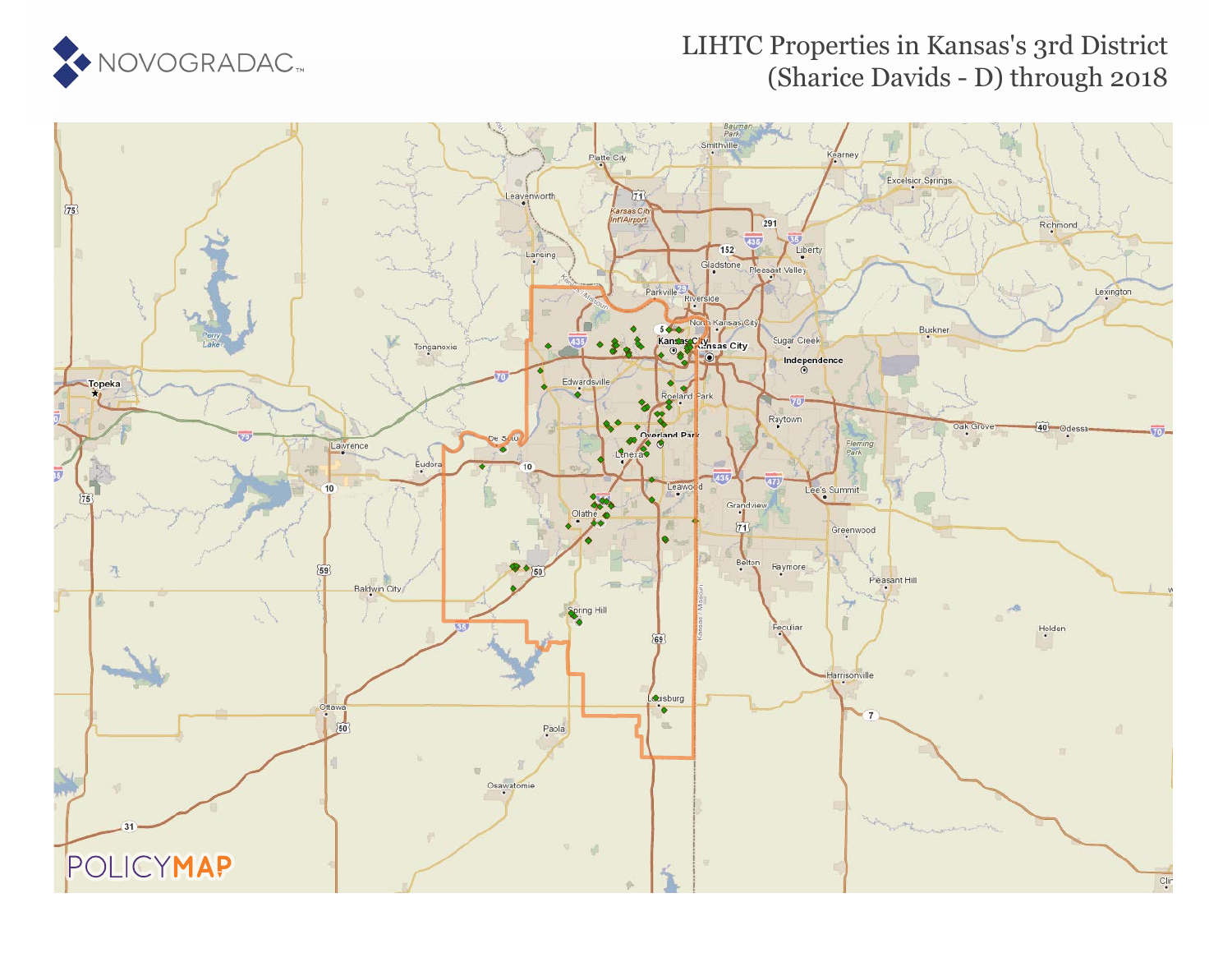

### LIHTC Properties in Kansas's 3rd District (Sharice Davids - D) through 2018

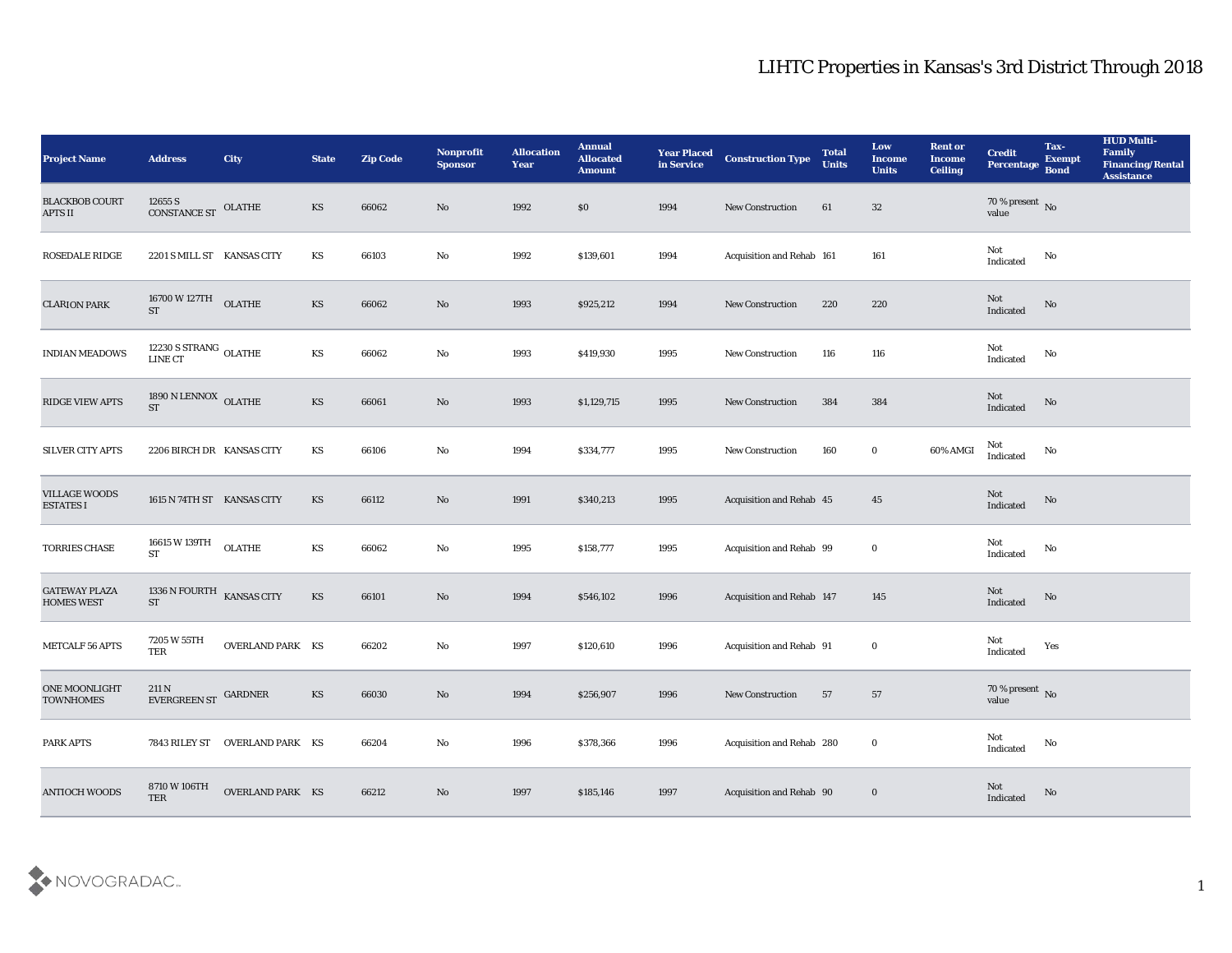| <b>Project Name</b>                       | <b>Address</b>                                          | <b>City</b>                    | <b>State</b>           | <b>Zip Code</b> | Nonprofit<br><b>Sponsor</b> | <b>Allocation</b><br><b>Year</b> | <b>Annual</b><br><b>Allocated</b><br><b>Amount</b> | <b>Year Placed</b><br>in Service | <b>Construction Type</b>         | <b>Total</b><br><b>Units</b> | Low<br><b>Income</b><br><b>Units</b> | <b>Rent or</b><br><b>Income</b><br><b>Ceiling</b> | <b>Credit</b><br>Percentage       | Tax-<br><b>Exempt</b><br><b>Bond</b> | <b>HUD Multi-</b><br>Family<br><b>Financing/Rental</b><br><b>Assistance</b> |
|-------------------------------------------|---------------------------------------------------------|--------------------------------|------------------------|-----------------|-----------------------------|----------------------------------|----------------------------------------------------|----------------------------------|----------------------------------|------------------------------|--------------------------------------|---------------------------------------------------|-----------------------------------|--------------------------------------|-----------------------------------------------------------------------------|
| <b>BLACKBOB COURT</b><br><b>APTS II</b>   | 12655 S<br>CONSTANCE ST OLATHE                          |                                | KS                     | 66062           | No                          | 1992                             | $\$0$                                              | 1994                             | <b>New Construction</b>          | 61                           | 32                                   |                                                   | $70$ % present $\,$ No $\,$ value |                                      |                                                                             |
| <b>ROSEDALE RIDGE</b>                     | 2201 S MILL ST KANSAS CITY                              |                                | KS                     | 66103           | No                          | 1992                             | \$139,601                                          | 1994                             | Acquisition and Rehab 161        |                              | 161                                  |                                                   | Not<br>Indicated                  | No                                   |                                                                             |
| <b>CLARION PARK</b>                       | $16700\,\mathrm{W}\,127\mathrm{TH}$ OLATHE<br><b>ST</b> |                                | KS                     | 66062           | No                          | 1993                             | \$925,212                                          | 1994                             | New Construction                 | 220                          | 220                                  |                                                   | Not<br>Indicated                  | No                                   |                                                                             |
| <b>INDIAN MEADOWS</b>                     | $12230$ S STRANG $\,$ OLATHE LINE CT                    |                                | KS                     | 66062           | $\mathbf{N}\mathbf{o}$      | 1993                             | \$419,930                                          | 1995                             | <b>New Construction</b>          | 116                          | 116                                  |                                                   | Not<br>$\operatorname{Indicated}$ | $\rm\, No$                           |                                                                             |
| RIDGE VIEW APTS                           | 1890 N LENNOX OLATHE<br><b>ST</b>                       |                                | KS                     | 66061           | No                          | 1993                             | \$1,129,715                                        | 1995                             | <b>New Construction</b>          | 384                          | 384                                  |                                                   | Not<br>Indicated                  | No                                   |                                                                             |
| SILVER CITY APTS                          | 2206 BIRCH DR KANSAS CITY                               |                                | KS                     | 66106           | $\mathbf{N}\mathbf{o}$      | 1994                             | \$334,777                                          | 1995                             | New Construction                 | 160                          | $\bf{0}$                             | 60% AMGI                                          | Not<br>Indicated                  | No                                   |                                                                             |
| <b>VILLAGE WOODS</b><br><b>ESTATES I</b>  | 1615 N 74TH ST KANSAS CITY                              |                                | KS                     | 66112           | No                          | 1991                             | \$340,213                                          | 1995                             | Acquisition and Rehab 45         |                              | 45                                   |                                                   | Not<br>Indicated                  | $\rm \bf No$                         |                                                                             |
| TORRIES CHASE                             | 16615 W 139TH<br><b>ST</b>                              | <b>OLATHE</b>                  | $\mathbf{K}\mathbf{S}$ | 66062           | No                          | 1995                             | \$158,777                                          | 1995                             | Acquisition and Rehab 99         |                              | $\bf{0}$                             |                                                   | Not<br>Indicated                  | No                                   |                                                                             |
| <b>GATEWAY PLAZA</b><br><b>HOMES WEST</b> | 1336 N FOURTH KANSAS CITY<br><b>ST</b>                  |                                | $\mathbf{K}\mathbf{S}$ | 66101           | $\mathbf{N}\mathbf{o}$      | 1994                             | \$546,102                                          | 1996                             | <b>Acquisition and Rehab 147</b> |                              | 145                                  |                                                   | Not<br>Indicated                  | No                                   |                                                                             |
| METCALF 56 APTS                           | 7205 W 55TH<br>TER                                      | <b>OVERLAND PARK KS</b>        |                        | 66202           | $\mathbf{N}\mathbf{o}$      | 1997                             | \$120,610                                          | 1996                             | Acquisition and Rehab 91         |                              | $\bf{0}$                             |                                                   | Not<br>$\operatorname{Indicated}$ | Yes                                  |                                                                             |
| <b>ONE MOONLIGHT</b><br><b>TOWNHOMES</b>  | 211 N<br>EVERGREEN ST                                   | GARDNER                        | KS                     | 66030           | No                          | 1994                             | \$256,907                                          | 1996                             | <b>New Construction</b>          | 57                           | 57                                   |                                                   | 70 % present No<br>value          |                                      |                                                                             |
| PARK APTS                                 |                                                         | 7843 RILEY ST OVERLAND PARK KS |                        | 66204           | $\mathbf{N}\mathbf{o}$      | 1996                             | \$378,366                                          | 1996                             | Acquisition and Rehab 280        |                              | $\bf{0}$                             |                                                   | Not<br>Indicated                  | $\rm\, No$                           |                                                                             |
| <b>ANTIOCH WOODS</b>                      | 8710 W 106TH<br>TER                                     | OVERLAND PARK KS               |                        | 66212           | $\rm\thinspace No$          | 1997                             | \$185,146                                          | 1997                             | Acquisition and Rehab 90         |                              | $\bf{0}$                             |                                                   | Not<br>Indicated                  | $\mathbf{N}\mathbf{o}$               |                                                                             |

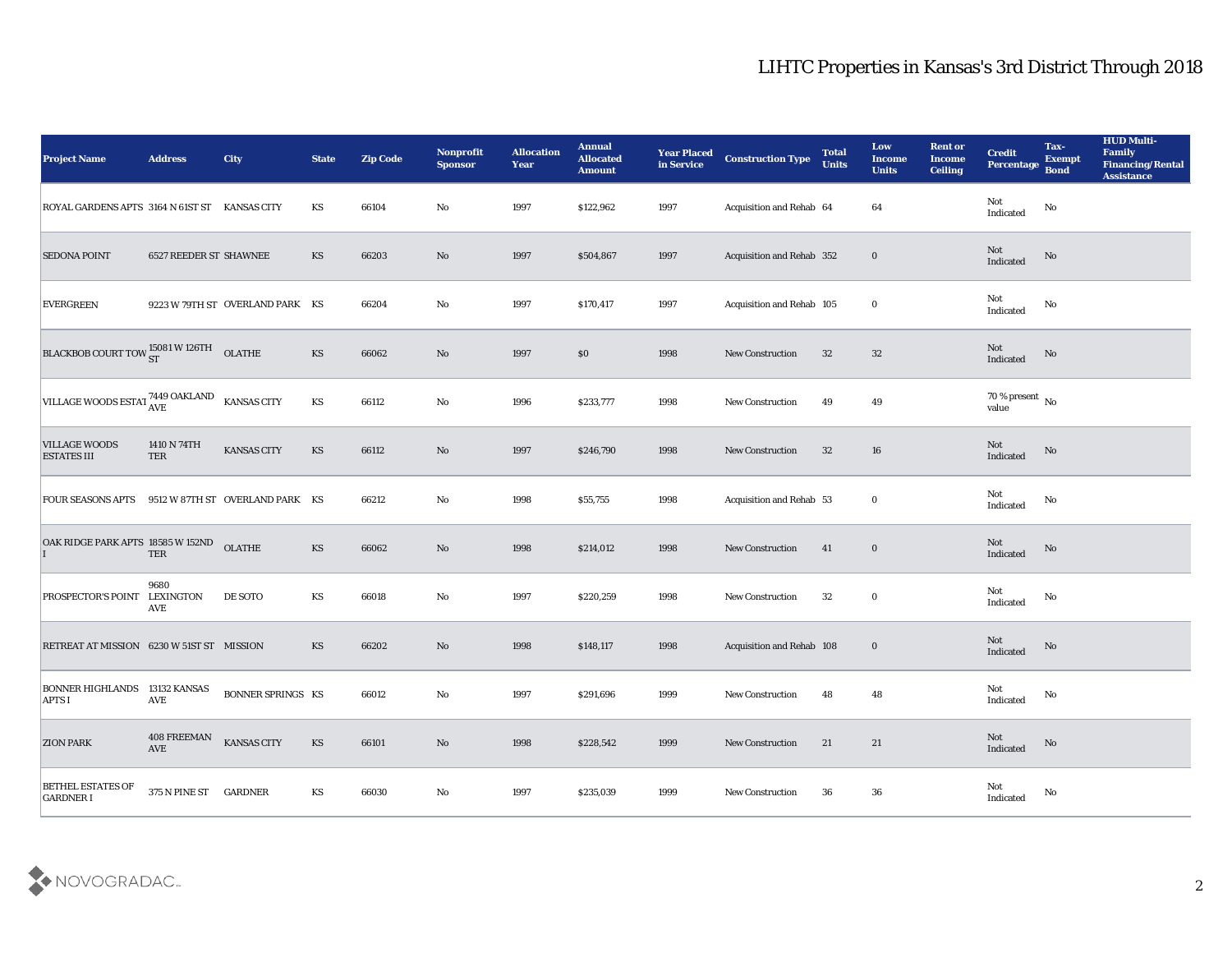| <b>Project Name</b>                                   | <b>Address</b>                | <b>City</b>                     | <b>State</b>           | <b>Zip Code</b> | <b>Nonprofit</b><br><b>Sponsor</b> | <b>Allocation</b><br><b>Year</b> | <b>Annual</b><br><b>Allocated</b><br><b>Amount</b> | <b>Year Placed</b><br>in Service | <b>Construction Type</b>  | <b>Total</b><br><b>Units</b> | Low<br><b>Income</b><br><b>Units</b> | <b>Rent or</b><br><b>Income</b><br><b>Ceiling</b> | <b>Credit</b><br><b>Percentage</b> | Tax-<br><b>Exempt</b><br><b>Bond</b> | <b>HUD Multi-</b><br>Family<br><b>Financing/Rental</b><br><b>Assistance</b> |
|-------------------------------------------------------|-------------------------------|---------------------------------|------------------------|-----------------|------------------------------------|----------------------------------|----------------------------------------------------|----------------------------------|---------------------------|------------------------------|--------------------------------------|---------------------------------------------------|------------------------------------|--------------------------------------|-----------------------------------------------------------------------------|
| ROYAL GARDENS APTS 3164 N 61ST ST KANSAS CITY         |                               |                                 | KS                     | 66104           | No                                 | 1997                             | \$122,962                                          | 1997                             | Acquisition and Rehab 64  |                              | 64                                   |                                                   | Not<br>Indicated                   | No                                   |                                                                             |
| <b>SEDONA POINT</b>                                   | <b>6527 REEDER ST SHAWNEE</b> |                                 | KS                     | 66203           | No                                 | 1997                             | \$504,867                                          | 1997                             | Acquisition and Rehab 352 |                              | $\bf{0}$                             |                                                   | Not<br>Indicated                   | No                                   |                                                                             |
| <b>EVERGREEN</b>                                      |                               | 9223 W 79TH ST OVERLAND PARK KS |                        | 66204           | $\mathbf{No}$                      | 1997                             | \$170,417                                          | 1997                             | Acquisition and Rehab 105 |                              | $\bf{0}$                             |                                                   | Not<br>Indicated                   | No                                   |                                                                             |
| <b>BLACKBOB COURT TOW ST W 126TH</b>                  |                               | OLATHE                          | KS                     | 66062           | No                                 | 1997                             | $\$0$                                              | 1998                             | <b>New Construction</b>   | 32                           | 32                                   |                                                   | Not<br>Indicated                   | No                                   |                                                                             |
| VILLAGE WOODS ESTAT <sup>7449</sup> OAKLAND           |                               | <b>KANSAS CITY</b>              | KS                     | 66112           | No                                 | 1996                             | \$233,777                                          | 1998                             | <b>New Construction</b>   | 49                           | 49                                   |                                                   | $70\,\%$ present $\,$ No value     |                                      |                                                                             |
| <b>VILLAGE WOODS</b><br><b>ESTATES III</b>            | 1410 N 74TH<br>TER            | KANSAS CITY                     | KS                     | 66112           | $\mathbf{N}\mathbf{o}$             | 1997                             | \$246,790                                          | 1998                             | New Construction          | 32                           | 16                                   |                                                   | Not<br>Indicated                   | No                                   |                                                                             |
| FOUR SEASONS APTS 9512 W 87TH ST OVERLAND PARK KS     |                               |                                 |                        | 66212           | No                                 | 1998                             | \$55,755                                           | 1998                             | Acquisition and Rehab 53  |                              | $\bf{0}$                             |                                                   | Not<br>Indicated                   | No                                   |                                                                             |
| OAK RIDGE PARK APTS 18585 W 152ND                     | <b>TER</b>                    | <b>OLATHE</b>                   | KS                     | 66062           | $\mathbf{N}\mathbf{o}$             | 1998                             | \$214,012                                          | 1998                             | <b>New Construction</b>   | 41                           | $\bf{0}$                             |                                                   | Not<br>Indicated                   | No                                   |                                                                             |
| PROSPECTOR'S POINT                                    | 9680<br>LEXINGTON<br>AVE      | DE SOTO                         | KS                     | 66018           | No                                 | 1997                             | \$220,259                                          | 1998                             | <b>New Construction</b>   | 32                           | $\bf{0}$                             |                                                   | Not<br>Indicated                   | No                                   |                                                                             |
| RETREAT AT MISSION 6230 W 51ST ST MISSION             |                               |                                 | KS                     | 66202           | $\mathbf{N}\mathbf{o}$             | 1998                             | \$148,117                                          | 1998                             | Acquisition and Rehab 108 |                              | $\bf{0}$                             |                                                   | Not<br>Indicated                   | No                                   |                                                                             |
| <b>BONNER HIGHLANDS 13132 KANSAS</b><br><b>APTS I</b> | AVE                           | <b>BONNER SPRINGS KS</b>        |                        | 66012           | No                                 | 1997                             | \$291,696                                          | 1999                             | <b>New Construction</b>   | 48                           | 48                                   |                                                   | Not<br>Indicated                   | No                                   |                                                                             |
| <b>ZION PARK</b>                                      | 408 FREEMAN<br>AVE            | <b>KANSAS CITY</b>              | KS                     | 66101           | $\rm\thinspace No$                 | 1998                             | \$228,542                                          | 1999                             | <b>New Construction</b>   | 21                           | 21                                   |                                                   | Not<br>Indicated                   | $\rm \bf No$                         |                                                                             |
| <b>BETHEL ESTATES OF</b><br><b>GARDNER I</b>          | 375 N PINE ST GARDNER         |                                 | $\mathbf{K}\mathbf{S}$ | 66030           | $\mathbf {No}$                     | 1997                             | \$235,039                                          | 1999                             | <b>New Construction</b>   | 36                           | ${\bf 36}$                           |                                                   | Not<br>Indicated                   | $\mathbf {No}$                       |                                                                             |

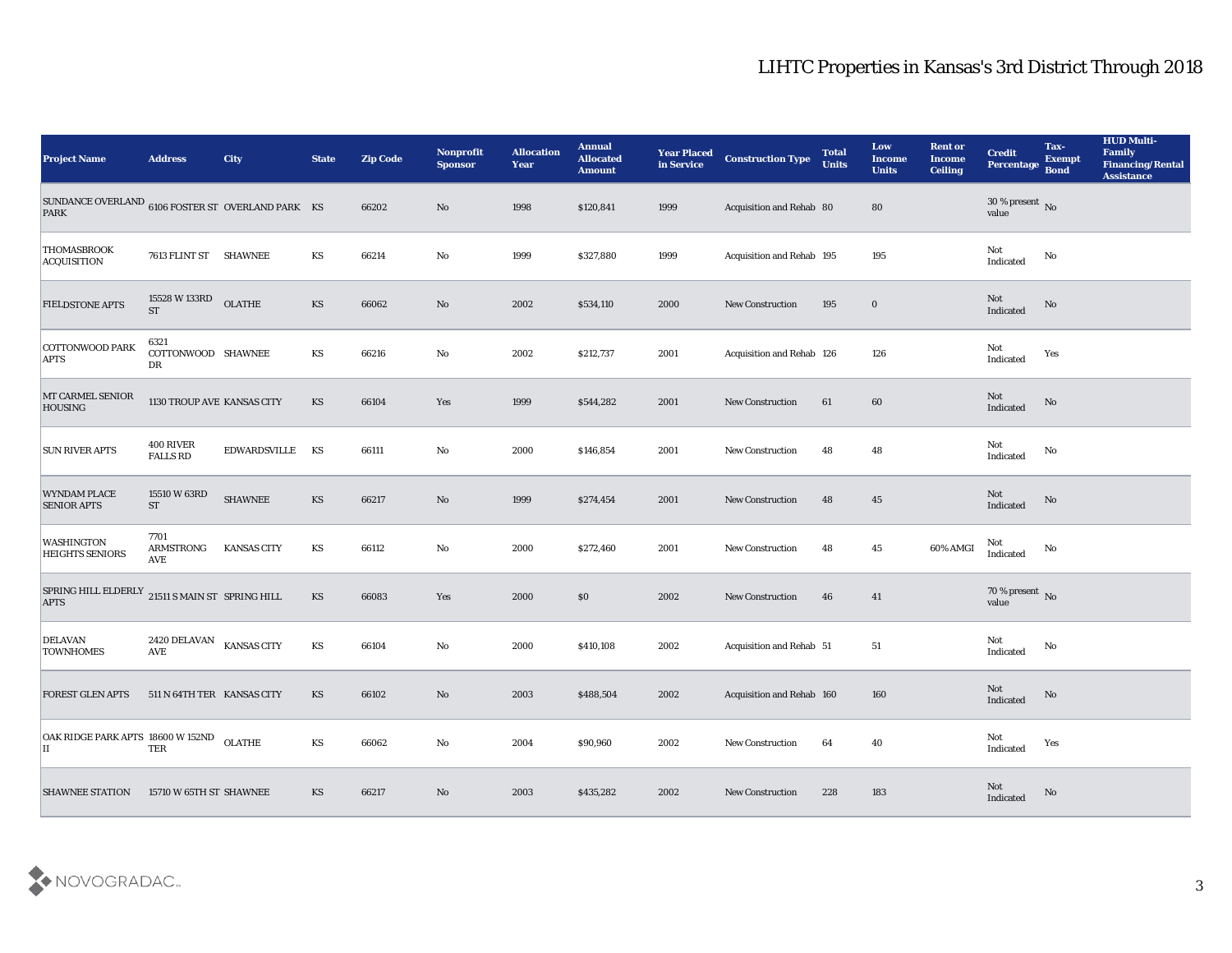| <b>Project Name</b>                                                             | <b>Address</b>                       | <b>City</b>        | <b>State</b> | <b>Zip Code</b> | <b>Nonprofit</b><br><b>Sponsor</b> | <b>Allocation</b><br>Year | <b>Annual</b><br><b>Allocated</b><br><b>Amount</b> | <b>Year Placed</b><br>in Service | <b>Construction Type</b>  | <b>Total</b><br><b>Units</b> | Low<br><b>Income</b><br><b>Units</b> | <b>Rent or</b><br><b>Income</b><br><b>Ceiling</b> | <b>Credit</b><br>Percentage    | Tax-<br><b>Exempt</b><br><b>Bond</b> | <b>HUD Multi-</b><br>Family<br><b>Financing/Rental</b><br><b>Assistance</b> |
|---------------------------------------------------------------------------------|--------------------------------------|--------------------|--------------|-----------------|------------------------------------|---------------------------|----------------------------------------------------|----------------------------------|---------------------------|------------------------------|--------------------------------------|---------------------------------------------------|--------------------------------|--------------------------------------|-----------------------------------------------------------------------------|
| SUNDANCE OVERLAND $_{\rm 6106}$ FOSTER ST $\,$ OVERLAND PARK $\,$ KS<br>PARK    |                                      |                    |              | 66202           | $\mathbf{N}\mathbf{o}$             | 1998                      | \$120,841                                          | 1999                             | Acquisition and Rehab 80  |                              | 80                                   |                                                   | $30\,\%$ present $\,$ No value |                                      |                                                                             |
| THOMASBROOK<br>ACQUISITION                                                      | 7613 FLINT ST SHAWNEE                |                    | KS           | 66214           | No                                 | 1999                      | \$327,880                                          | 1999                             | Acquisition and Rehab 195 |                              | 195                                  |                                                   | Not<br>Indicated               | $\mathbf{No}$                        |                                                                             |
| <b>FIELDSTONE APTS</b>                                                          | 15528 W 133RD<br><b>ST</b>           | <b>OLATHE</b>      | KS           | 66062           | $\mathbf{N}\mathbf{o}$             | 2002                      | \$534,110                                          | 2000                             | New Construction          | 195                          | $\bf{0}$                             |                                                   | Not<br>Indicated               | No                                   |                                                                             |
| COTTONWOOD PARK<br><b>APTS</b>                                                  | 6321<br>COTTONWOOD SHAWNEE<br>DR     |                    | KS           | 66216           | $\mathbf {No}$                     | 2002                      | \$212,737                                          | 2001                             | Acquisition and Rehab 126 |                              | 126                                  |                                                   | Not<br>Indicated               | Yes                                  |                                                                             |
| MT CARMEL SENIOR<br><b>HOUSING</b>                                              | 1130 TROUP AVE KANSAS CITY           |                    | KS           | 66104           | Yes                                | 1999                      | \$544,282                                          | 2001                             | <b>New Construction</b>   | 61                           | 60                                   |                                                   | Not<br>Indicated               | No                                   |                                                                             |
| <b>SUN RIVER APTS</b>                                                           | 400 RIVER<br><b>FALLS RD</b>         | EDWARDSVILLE       | KS           | 66111           | $\mathbf {No}$                     | 2000                      | \$146,854                                          | 2001                             | New Construction          | 48                           | 48                                   |                                                   | Not<br>Indicated               | No                                   |                                                                             |
| <b>WYNDAM PLACE</b><br><b>SENIOR APTS</b>                                       | 15510 W 63RD<br>${\cal S}{\cal T}$   | <b>SHAWNEE</b>     | KS           | 66217           | $\rm\thinspace No$                 | 1999                      | \$274,454                                          | 2001                             | <b>New Construction</b>   | 48                           | 45                                   |                                                   | Not<br>Indicated               | No                                   |                                                                             |
| <b>WASHINGTON</b><br><b>HEIGHTS SENIORS</b>                                     | 7701<br><b>ARMSTRONG</b><br>AVE      | <b>KANSAS CITY</b> | KS           | 66112           | $\mathbf{No}$                      | 2000                      | \$272,460                                          | 2001                             | New Construction          | 48                           | 45                                   | 60% AMGI                                          | Not<br>Indicated               | No                                   |                                                                             |
| SPRING HILL ELDERLY $_{\,21511}$ S MAIN ST $\,$ SPRING HILL $\,$<br><b>APTS</b> |                                      |                    | KS           | 66083           | Yes                                | 2000                      | \$0                                                | 2002                             | <b>New Construction</b>   | 46                           | 41                                   |                                                   | 70 % present No<br>value       |                                      |                                                                             |
| <b>DELAVAN</b><br><b>TOWNHOMES</b>                                              | 2420 DELAVAN<br>$\operatorname{AVE}$ | <b>KANSAS CITY</b> | KS           | 66104           | $\mathbf{No}$                      | 2000                      | \$410,108                                          | 2002                             | Acquisition and Rehab 51  |                              | 51                                   |                                                   | Not<br>Indicated               | No                                   |                                                                             |
| <b>FOREST GLEN APTS</b>                                                         | 511 N 64TH TER KANSAS CITY           |                    | <b>KS</b>    | 66102           | No                                 | 2003                      | \$488,504                                          | 2002                             | Acquisition and Rehab 160 |                              | 160                                  |                                                   | Not<br>Indicated               | No                                   |                                                                             |
| OAK RIDGE PARK APTS 18600 W 152ND OLATHE<br>П                                   | TER                                  |                    | KS           | 66062           | $\rm\thinspace No$                 | 2004                      | \$90,960                                           | 2002                             | New Construction          | 64                           | 40                                   |                                                   | Not<br>Indicated               | Yes                                  |                                                                             |
| <b>SHAWNEE STATION</b>                                                          | 15710 W 65TH ST SHAWNEE              |                    | KS           | 66217           | $\rm\thinspace No$                 | 2003                      | \$435,282                                          | 2002                             | <b>New Construction</b>   | 228                          | 183                                  |                                                   | Not<br>Indicated               | No                                   |                                                                             |

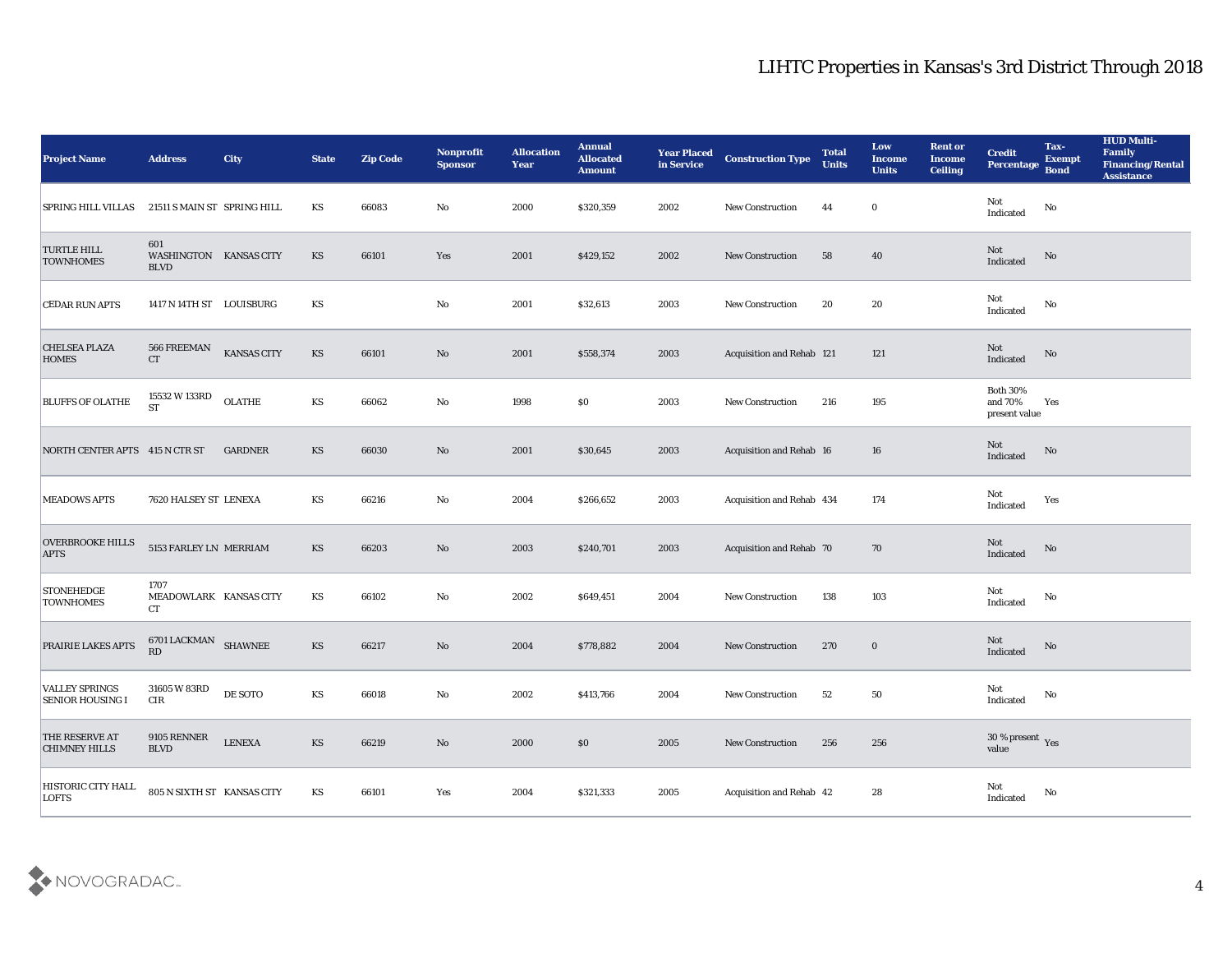| <b>Project Name</b>                              | <b>Address</b>                               | <b>City</b>        | <b>State</b>           | <b>Zip Code</b> | Nonprofit<br><b>Sponsor</b> | <b>Allocation</b><br><b>Year</b> | <b>Annual</b><br><b>Allocated</b><br><b>Amount</b> | <b>Year Placed</b><br>in Service | <b>Construction Type</b>        | <b>Total</b><br><b>Units</b> | Low<br><b>Income</b><br><b>Units</b> | <b>Rent or</b><br><b>Income</b><br><b>Ceiling</b> | <b>Credit</b><br><b>Percentage</b>          | Tax-<br><b>Exempt</b><br><b>Bond</b> | <b>HUD Multi-</b><br>Family<br><b>Financing/Rental</b><br><b>Assistance</b> |
|--------------------------------------------------|----------------------------------------------|--------------------|------------------------|-----------------|-----------------------------|----------------------------------|----------------------------------------------------|----------------------------------|---------------------------------|------------------------------|--------------------------------------|---------------------------------------------------|---------------------------------------------|--------------------------------------|-----------------------------------------------------------------------------|
| SPRING HILL VILLAS                               | 21511 S MAIN ST SPRING HILL                  |                    | KS                     | 66083           | No                          | 2000                             | \$320,359                                          | 2002                             | New Construction                | 44                           | $\bf{0}$                             |                                                   | Not<br>Indicated                            | No                                   |                                                                             |
| <b>TURTLE HILL</b><br><b>TOWNHOMES</b>           | 601<br>WASHINGTON KANSAS CITY<br><b>BLVD</b> |                    | KS                     | 66101           | Yes                         | 2001                             | \$429,152                                          | 2002                             | <b>New Construction</b>         | 58                           | 40                                   |                                                   | Not<br>Indicated                            | No                                   |                                                                             |
| <b>CEDAR RUN APTS</b>                            | 1417 N 14TH ST LOUISBURG                     |                    | KS                     |                 | No                          | 2001                             | \$32,613                                           | 2003                             | <b>New Construction</b>         | 20                           | 20                                   |                                                   | Not<br>Indicated                            | No                                   |                                                                             |
| <b>CHELSEA PLAZA</b><br><b>HOMES</b>             | $566\ {\rm FREEMAN}$<br>CT                   | <b>KANSAS CITY</b> | KS                     | 66101           | No                          | 2001                             | \$558,374                                          | 2003                             | Acquisition and Rehab 121       |                              | 121                                  |                                                   | Not<br>Indicated                            | No                                   |                                                                             |
| <b>BLUFFS OF OLATHE</b>                          | 15532 W 133RD<br><b>ST</b>                   | OLATHE             | KS                     | 66062           | No                          | 1998                             | $\$0$                                              | 2003                             | <b>New Construction</b>         | 216                          | 195                                  |                                                   | <b>Both 30%</b><br>and 70%<br>present value | Yes                                  |                                                                             |
| NORTH CENTER APTS 415 N CTR ST                   |                                              | <b>GARDNER</b>     | KS                     | 66030           | No                          | 2001                             | \$30,645                                           | 2003                             | <b>Acquisition and Rehab 16</b> |                              | 16                                   |                                                   | Not<br>Indicated                            | No                                   |                                                                             |
| <b>MEADOWS APTS</b>                              | 7620 HALSEY ST LENEXA                        |                    | KS                     | 66216           | $\mathbf{No}$               | 2004                             | \$266,652                                          | 2003                             | Acquisition and Rehab 434       |                              | 174                                  |                                                   | Not<br>Indicated                            | Yes                                  |                                                                             |
| <b>OVERBROOKE HILLS</b><br><b>APTS</b>           | 5153 FARLEY LN MERRIAM                       |                    | <b>KS</b>              | 66203           | No                          | 2003                             | \$240,701                                          | 2003                             | Acquisition and Rehab 70        |                              | 70                                   |                                                   | <b>Not</b><br>Indicated                     | No                                   |                                                                             |
| <b>STONEHEDGE</b><br><b>TOWNHOMES</b>            | 1707<br>MEADOWLARK KANSAS CITY<br>CT         |                    | KS                     | 66102           | No                          | 2002                             | \$649,451                                          | 2004                             | <b>New Construction</b>         | 138                          | 103                                  |                                                   | Not<br>Indicated                            | No                                   |                                                                             |
| PRAIRIE LAKES APTS                               | 6701 LACKMAN SHAWNEE<br>RD                   |                    | KS                     | 66217           | No                          | 2004                             | \$778,882                                          | 2004                             | <b>New Construction</b>         | 270                          | $\bf{0}$                             |                                                   | Not<br>Indicated                            | No                                   |                                                                             |
| <b>VALLEY SPRINGS</b><br><b>SENIOR HOUSING I</b> | 31605 W 83RD<br>CIR                          | DE SOTO            | KS                     | 66018           | No                          | 2002                             | \$413,766                                          | 2004                             | <b>New Construction</b>         | 52                           | 50                                   |                                                   | Not<br>Indicated                            | No                                   |                                                                             |
| THE RESERVE AT<br><b>CHIMNEY HILLS</b>           | $9105$ RENNER<br><b>BLVD</b>                 | <b>LENEXA</b>      | $\mathbf{K}\mathbf{S}$ | 66219           | $\mathbf{N}\mathbf{o}$      | 2000                             | \$0                                                | 2005                             | New Construction                | 256                          | 256                                  |                                                   | $30\,\%$ present $\,$ Yes value             |                                      |                                                                             |
| HISTORIC CITY HALL<br><b>LOFTS</b>               | 805 N SIXTH ST KANSAS CITY                   |                    | KS                     | 66101           | Yes                         | 2004                             | \$321,333                                          | 2005                             | Acquisition and Rehab 42        |                              | 28                                   |                                                   | Not<br>Indicated                            | $\mathbf {No}$                       |                                                                             |

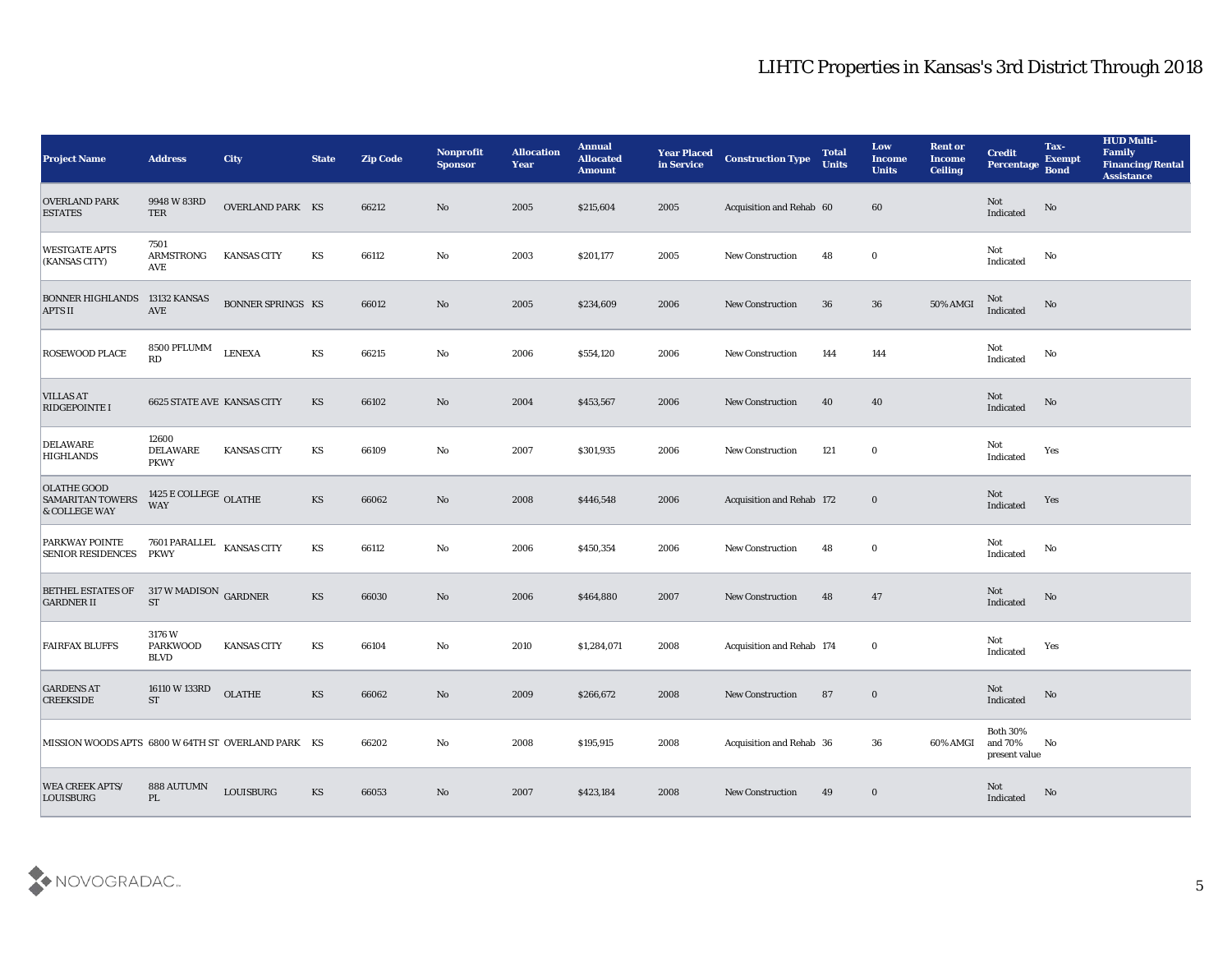| <b>Project Name</b>                                            | <b>Address</b>                            | <b>City</b>              | <b>State</b>           | <b>Zip Code</b> | <b>Nonprofit</b><br><b>Sponsor</b> | <b>Allocation</b><br>Year | <b>Annual</b><br><b>Allocated</b><br><b>Amount</b> | <b>Year Placed</b><br>in Service | <b>Construction Type</b>  | <b>Total</b><br><b>Units</b> | Low<br><b>Income</b><br><b>Units</b> | <b>Rent or</b><br><b>Income</b><br><b>Ceiling</b> | <b>Credit</b><br><b>Percentage</b>             | Tax-<br><b>Exempt</b><br><b>Bond</b> | <b>HUD Multi-</b><br>Family<br><b>Financing/Rental</b><br><b>Assistance</b> |
|----------------------------------------------------------------|-------------------------------------------|--------------------------|------------------------|-----------------|------------------------------------|---------------------------|----------------------------------------------------|----------------------------------|---------------------------|------------------------------|--------------------------------------|---------------------------------------------------|------------------------------------------------|--------------------------------------|-----------------------------------------------------------------------------|
| <b>OVERLAND PARK</b><br><b>ESTATES</b>                         | 9948 W 83RD<br>TER                        | <b>OVERLAND PARK KS</b>  |                        | 66212           | No                                 | 2005                      | \$215,604                                          | 2005                             | Acquisition and Rehab 60  |                              | 60                                   |                                                   | Not<br>Indicated                               | No                                   |                                                                             |
| <b>WESTGATE APTS</b><br>(KANSAS CITY)                          | 7501<br><b>ARMSTRONG</b><br>AVE           | <b>KANSAS CITY</b>       | KS                     | 66112           | No                                 | 2003                      | \$201,177                                          | 2005                             | <b>New Construction</b>   | 48                           | $\bf{0}$                             |                                                   | Not<br>$\operatorname{Indicated}$              | No                                   |                                                                             |
| <b>BONNER HIGHLANDS</b><br><b>APTS II</b>                      | 13132 KANSAS<br><b>AVE</b>                | <b>BONNER SPRINGS KS</b> |                        | 66012           | $\rm\thinspace No$                 | 2005                      | \$234,609                                          | 2006                             | <b>New Construction</b>   | 36                           | 36                                   | 50% AMGI                                          | Not<br>Indicated                               | No                                   |                                                                             |
| <b>ROSEWOOD PLACE</b>                                          | 8500 PFLUMM<br>RD                         | <b>LENEXA</b>            | KS                     | 66215           | No                                 | 2006                      | \$554,120                                          | 2006                             | New Construction          | 144                          | 144                                  |                                                   | Not<br>Indicated                               | No                                   |                                                                             |
| <b>VILLAS AT</b><br><b>RIDGEPOINTE I</b>                       | <b>6625 STATE AVE KANSAS CITY</b>         |                          | KS                     | 66102           | $\mathbf{N}\mathbf{o}$             | 2004                      | \$453,567                                          | 2006                             | <b>New Construction</b>   | 40                           | 40                                   |                                                   | Not<br>Indicated                               | No                                   |                                                                             |
| <b>DELAWARE</b><br><b>HIGHLANDS</b>                            | 12600<br>DELAWARE<br><b>PKWY</b>          | <b>KANSAS CITY</b>       | KS                     | 66109           | $\mathbf{No}$                      | 2007                      | \$301,935                                          | 2006                             | <b>New Construction</b>   | 121                          | $\bf{0}$                             |                                                   | Not<br>Indicated                               | Yes                                  |                                                                             |
| <b>OLATHE GOOD</b><br><b>SAMARITAN TOWERS</b><br>& COLLEGE WAY | 1425 E COLLEGE OLATHE<br><b>WAY</b>       |                          | $\mathbf{K}\mathbf{S}$ | 66062           | $\mathbf{N}\mathbf{o}$             | 2008                      | \$446,548                                          | 2006                             | Acquisition and Rehab 172 |                              | $\bf{0}$                             |                                                   | Not<br>Indicated                               | Yes                                  |                                                                             |
| PARKWAY POINTE<br><b>SENIOR RESIDENCES</b>                     | 7601 PARALLEL<br><b>PKWY</b>              | <b>KANSAS CITY</b>       | KS                     | 66112           | No                                 | 2006                      | \$450,354                                          | 2006                             | <b>New Construction</b>   | 48                           | $\bf{0}$                             |                                                   | Not<br>Indicated                               | No                                   |                                                                             |
| <b>BETHEL ESTATES OF</b><br><b>GARDNER II</b>                  | $317$ W MADISON $\,$ GARDNER<br><b>ST</b> |                          | KS                     | 66030           | No                                 | 2006                      | \$464,880                                          | 2007                             | New Construction          | 48                           | 47                                   |                                                   | Not<br>Indicated                               | No                                   |                                                                             |
| <b>FAIRFAX BLUFFS</b>                                          | 3176W<br><b>PARKWOOD</b><br><b>BLVD</b>   | <b>KANSAS CITY</b>       | KS                     | 66104           | $\mathbf{No}$                      | 2010                      | \$1,284,071                                        | 2008                             | Acquisition and Rehab 174 |                              | $\bf{0}$                             |                                                   | Not<br>Indicated                               | Yes                                  |                                                                             |
| <b>GARDENS AT</b><br><b>CREEKSIDE</b>                          | 16110 W 133RD<br>${\cal S}{\cal T}$       | <b>OLATHE</b>            | KS                     | 66062           | No                                 | 2009                      | \$266,672                                          | 2008                             | <b>New Construction</b>   | 87                           | $\bf{0}$                             |                                                   | Not<br>Indicated                               | No                                   |                                                                             |
| MISSION WOODS APTS 6800 W 64TH ST OVERLAND PARK KS             |                                           |                          |                        | 66202           | $\mathbf{N}\mathbf{o}$             | 2008                      | \$195,915                                          | 2008                             | Acquisition and Rehab 36  |                              | 36                                   | 60% AMGI                                          | <b>Both 30%</b><br>and $70\%$<br>present value | No                                   |                                                                             |
| <b>WEA CREEK APTS/</b><br>LOUISBURG                            | 888 AUTUMN<br>PL                          | LOUISBURG                | KS                     | 66053           | $\rm\thinspace No$                 | 2007                      | \$423,184                                          | 2008                             | New Construction          | 49                           | $\bf{0}$                             |                                                   | Not<br>Indicated                               | No                                   |                                                                             |

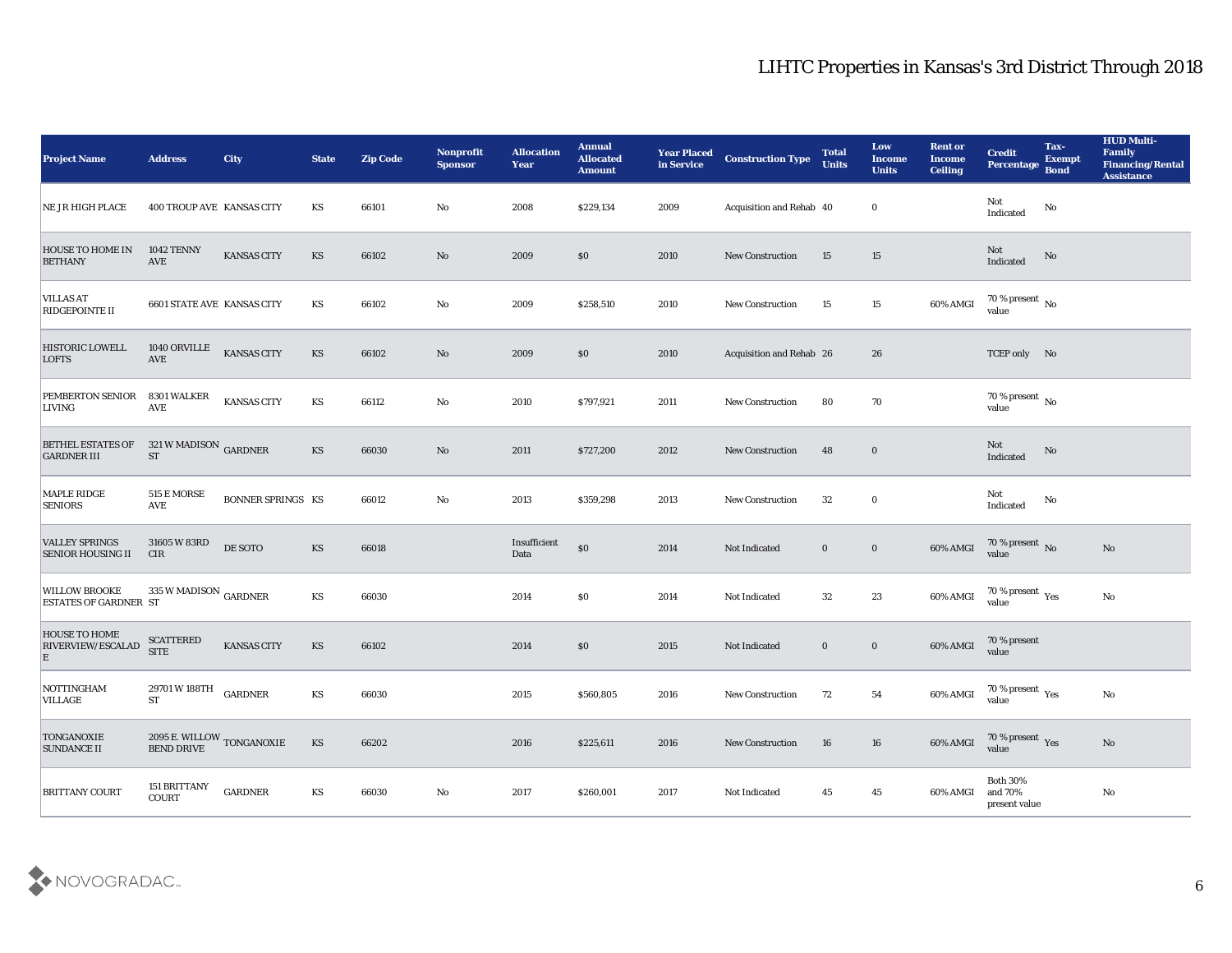| <b>Project Name</b>                                  | <b>Address</b>                                  | City                     | <b>State</b> | <b>Zip Code</b> | <b>Nonprofit</b><br><b>Sponsor</b> | <b>Allocation</b><br><b>Year</b> | <b>Annual</b><br><b>Allocated</b><br><b>Amount</b> | <b>Year Placed</b><br>in Service | <b>Construction Type</b> | <b>Total</b><br><b>Units</b> | Low<br><b>Income</b><br><b>Units</b> | <b>Rent or</b><br><b>Income</b><br><b>Ceiling</b> | <b>Credit</b><br><b>Percentage</b>          | Tax-<br><b>Exempt</b><br><b>Bond</b> | <b>HUD Multi-</b><br>Family<br><b>Financing/Rental</b><br><b>Assistance</b> |
|------------------------------------------------------|-------------------------------------------------|--------------------------|--------------|-----------------|------------------------------------|----------------------------------|----------------------------------------------------|----------------------------------|--------------------------|------------------------------|--------------------------------------|---------------------------------------------------|---------------------------------------------|--------------------------------------|-----------------------------------------------------------------------------|
| NE JR HIGH PLACE                                     | 400 TROUP AVE KANSAS CITY                       |                          | KS           | 66101           | No                                 | 2008                             | \$229,134                                          | 2009                             | Acquisition and Rehab 40 |                              | $\bf{0}$                             |                                                   | Not<br>Indicated                            | No                                   |                                                                             |
| <b>HOUSE TO HOME IN</b><br><b>BETHANY</b>            | <b>1042 TENNY</b><br>AVE                        | KANSAS CITY              | KS           | 66102           | No                                 | 2009                             | $\$0$                                              | 2010                             | <b>New Construction</b>  | 15                           | 15                                   |                                                   | Not<br>Indicated                            | No                                   |                                                                             |
| <b>VILLAS AT</b><br>RIDGEPOINTE II                   | <b>6601 STATE AVE KANSAS CITY</b>               |                          | KS           | 66102           | $\mathbf{No}$                      | 2009                             | \$258,510                                          | 2010                             | <b>New Construction</b>  | 15                           | 15                                   | 60% AMGI                                          | 70 % present $\,$ No $\,$<br>value          |                                      |                                                                             |
| <b>HISTORIC LOWELL</b><br><b>LOFTS</b>               | 1040 ORVILLE<br>AVE                             | <b>KANSAS CITY</b>       | KS           | 66102           | $\mathbf{N}\mathbf{o}$             | 2009                             | $\$0$                                              | 2010                             | Acquisition and Rehab 26 |                              | 26                                   |                                                   | TCEP only No                                |                                      |                                                                             |
| PEMBERTON SENIOR<br><b>LIVING</b>                    | 8301 WALKER<br><b>AVE</b>                       | KANSAS CITY              | KS           | 66112           | No                                 | 2010                             | \$797,921                                          | 2011                             | <b>New Construction</b>  | 80                           | 70                                   |                                                   | $70\,\%$ present $\,$ No value              |                                      |                                                                             |
| <b>BETHEL ESTATES OF</b><br><b>GARDNER III</b>       | 321 W MADISON GARDNER<br>${\rm ST}$             |                          | KS           | 66030           | No                                 | 2011                             | \$727,200                                          | 2012                             | New Construction         | 48                           | $\bf{0}$                             |                                                   | Not<br>Indicated                            | No                                   |                                                                             |
| <b>MAPLE RIDGE</b><br><b>SENIORS</b>                 | <b>515 E MORSE</b><br><b>AVE</b>                | <b>BONNER SPRINGS KS</b> |              | 66012           | $\mathbf{No}$                      | 2013                             | \$359,298                                          | 2013                             | <b>New Construction</b>  | 32                           | $\bf{0}$                             |                                                   | Not<br>Indicated                            | No                                   |                                                                             |
| <b>VALLEY SPRINGS</b><br>SENIOR HOUSING II           | 31605 W 83RD<br><b>CIR</b>                      | DE SOTO                  | KS           | 66018           |                                    | Insufficient<br>Data             | $\$0$                                              | 2014                             | Not Indicated            | $\bf{0}$                     | $\boldsymbol{0}$                     | 60% AMGI                                          | 70 % present $\,$ No $\,$<br>value          |                                      | No                                                                          |
| <b>WILLOW BROOKE</b><br><b>ESTATES OF GARDNER ST</b> | 335 W MADISON $_{\rm GARDNER}$                  |                          | KS           | 66030           |                                    | 2014                             | \$0\$                                              | 2014                             | Not Indicated            | 32                           | 23                                   | 60% AMGI                                          | 70 % present $_{\rm Yes}$<br>value          |                                      | $\mathbf{N}\mathbf{o}$                                                      |
| <b>HOUSE TO HOME</b><br>RIVERVIEW/ESCALAD<br>E       | <b>SCATTERED</b><br><b>SITE</b>                 | KANSAS CITY              | KS           | 66102           |                                    | 2014                             | \$0\$                                              | 2015                             | Not Indicated            | $\bf{0}$                     | $\boldsymbol{0}$                     | 60% AMGI                                          | 70 % present<br>value                       |                                      |                                                                             |
| NOTTINGHAM<br>VILLAGE                                | 29701 W 188TH<br><b>ST</b>                      | <b>GARDNER</b>           | KS           | 66030           |                                    | 2015                             | \$560,805                                          | 2016                             | <b>New Construction</b>  | 72                           | 54                                   | 60% AMGI                                          | 70 % present $\gamma_{\rm es}$<br>value     |                                      | No                                                                          |
| <b>TONGANOXIE</b><br><b>SUNDANCE II</b>              | $2095$ E. WILLOW $_{\rm TONGANOXIE}$ BEND DRIVE |                          | KS           | 66202           |                                    | 2016                             | \$225,611                                          | 2016                             | <b>New Construction</b>  | 16                           | 16                                   | 60% AMGI                                          | $70\,\%$ present $\,$ Yes value             |                                      | No                                                                          |
| <b>BRITTANY COURT</b>                                | 151 BRITTANY<br>COURT                           | ${\tt GARDNER}$          | KS           | 66030           | $\mathbf {No}$                     | 2017                             | \$260,001                                          | 2017                             | Not Indicated            | 45                           | 45                                   | 60% AMGI                                          | <b>Both 30%</b><br>and 70%<br>present value |                                      | $\mathbf {No}$                                                              |

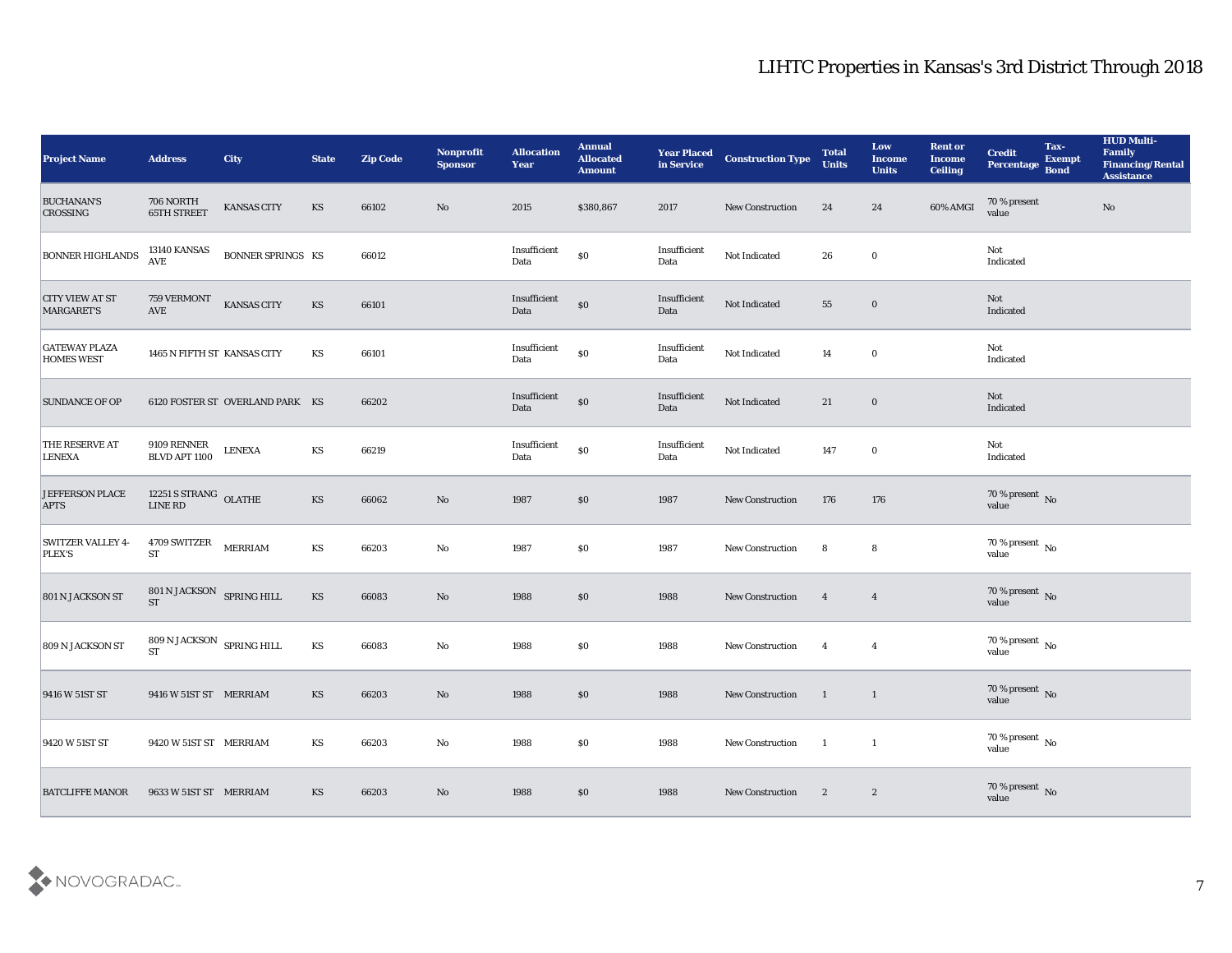| <b>Project Name</b>                         | <b>Address</b>                                | <b>City</b>                     | <b>State</b> | <b>Zip Code</b> | <b>Nonprofit</b><br><b>Sponsor</b> | <b>Allocation</b><br><b>Year</b>            | <b>Annual</b><br><b>Allocated</b><br><b>Amount</b> | <b>Year Placed<br/>in Service</b> | <b>Construction Type</b> | <b>Total</b><br><b>Units</b> | Low<br><b>Income</b><br><b>Units</b> | <b>Rent or</b><br><b>Income</b><br><b>Ceiling</b> | <b>Credit</b><br>Percentage Bond | Tax-<br><b>Exempt</b> | <b>HUD Multi-</b><br>Family<br><b>Financing/Rental</b><br><b>Assistance</b> |
|---------------------------------------------|-----------------------------------------------|---------------------------------|--------------|-----------------|------------------------------------|---------------------------------------------|----------------------------------------------------|-----------------------------------|--------------------------|------------------------------|--------------------------------------|---------------------------------------------------|----------------------------------|-----------------------|-----------------------------------------------------------------------------|
| <b>BUCHANAN'S</b><br><b>CROSSING</b>        | 706 NORTH<br><b>65TH STREET</b>               | KANSAS CITY                     | KS           | 66102           | $\mathbf{N}\mathbf{o}$             | 2015                                        | \$380,867                                          | 2017                              | New Construction         | 24                           | 24                                   | 60% AMGI                                          | 70 % present<br>value            |                       | $\mathbf{N}\mathbf{o}$                                                      |
| <b>BONNER HIGHLANDS</b>                     | 13140 KANSAS<br><b>AVE</b>                    | <b>BONNER SPRINGS KS</b>        |              | 66012           |                                    | Insufficient<br>Data                        | $\$0$                                              | Insufficient<br>Data              | Not Indicated            | 26                           | $\bf{0}$                             |                                                   | Not<br>Indicated                 |                       |                                                                             |
| <b>CITY VIEW AT ST</b><br><b>MARGARET'S</b> | <b>759 VERMONT</b><br>$\operatorname{AVE}$    | KANSAS CITY                     | KS           | 66101           |                                    | Insufficient<br>Data                        | $\$0$                                              | Insufficient<br>Data              | Not Indicated            | 55                           | $\bf{0}$                             |                                                   | Not<br>Indicated                 |                       |                                                                             |
| <b>GATEWAY PLAZA</b><br><b>HOMES WEST</b>   | 1465 N FIFTH ST KANSAS CITY                   |                                 | KS           | 66101           |                                    | $\label{lem:optimal} In sufficient$<br>Data | $\$0$                                              | Insufficient<br>Data              | Not Indicated            | 14                           | $\bf{0}$                             |                                                   | Not<br>Indicated                 |                       |                                                                             |
| <b>SUNDANCE OF OP</b>                       |                                               | 6120 FOSTER ST OVERLAND PARK KS |              | 66202           |                                    | Insufficient<br>Data                        | $\$0$                                              | Insufficient<br>Data              | Not Indicated            | 21                           | $\bf{0}$                             |                                                   | Not<br>Indicated                 |                       |                                                                             |
| THE RESERVE AT<br><b>LENEXA</b>             | 9109 RENNER<br>BLVD APT 1100                  | <b>LENEXA</b>                   | KS           | 66219           |                                    | Insufficient<br>Data                        | $\$0$                                              | Insufficient<br>Data              | Not Indicated            | 147                          | $\bf{0}$                             |                                                   | Not<br>Indicated                 |                       |                                                                             |
| JEFFERSON PLACE<br><b>APTS</b>              | $12251$ S STRANG $\,$ OLATHE LINE RD          |                                 | KS           | 66062           | No                                 | 1987                                        | $\$0$                                              | 1987                              | <b>New Construction</b>  | 176                          | 176                                  |                                                   | $70\,\%$ present $\,$ No value   |                       |                                                                             |
| <b>SWITZER VALLEY 4-</b><br><b>PLEX'S</b>   | 4709 SWITZER<br>$\operatorname{ST}$           | <b>MERRIAM</b>                  | KS           | 66203           | $\mathbf {No}$                     | 1987                                        | \$0                                                | 1987                              | <b>New Construction</b>  | 8                            | 8                                    |                                                   | $70\,\%$ present $\,$ No value   |                       |                                                                             |
| 801 N JACKSON ST                            | 801 N JACKSON SPRING HILL<br><b>ST</b>        |                                 | KS           | 66083           | $\mathbf{N}\mathbf{o}$             | 1988                                        | $\$0$                                              | 1988                              | New Construction         | $\overline{4}$               | $\overline{\mathbf{4}}$              |                                                   | $70\,\%$ present $\,$ No value   |                       |                                                                             |
| 809 N JACKSON ST                            | $809$ N JACKSON $\,$ SPRING HILL<br><b>ST</b> |                                 | KS           | 66083           | $\mathbf {No}$                     | 1988                                        | $\$0$                                              | 1988                              | New Construction         | $\overline{4}$               | $\overline{4}$                       |                                                   | $70\,\%$ present $\,$ No value   |                       |                                                                             |
| 9416 W 51ST ST                              | 9416 W 51ST ST MERRIAM                        |                                 | KS           | 66203           | No                                 | 1988                                        | \$0                                                | 1988                              | <b>New Construction</b>  | $\blacksquare$               | $\mathbf{1}$                         |                                                   | $70\,\%$ present $\,$ No value   |                       |                                                                             |
| 9420 W 51ST ST                              | 9420 W 51ST ST MERRIAM                        |                                 | KS           | 66203           | $\mathbf {No}$                     | 1988                                        | $\$0$                                              | 1988                              | New Construction         | $\mathbf{1}$                 | $\mathbf{1}$                         |                                                   | $70\,\%$ present $\,$ No value   |                       |                                                                             |
| <b>BATCLIFFE MANOR</b>                      | 9633 W 51ST ST MERRIAM                        |                                 | KS           | 66203           | $\rm\thinspace No$                 | 1988                                        | $\$0$                                              | 1988                              | <b>New Construction</b>  | $\mathbf{2}$                 | $\boldsymbol{2}$                     |                                                   | $70\,\%$ present $\,$ No value   |                       |                                                                             |

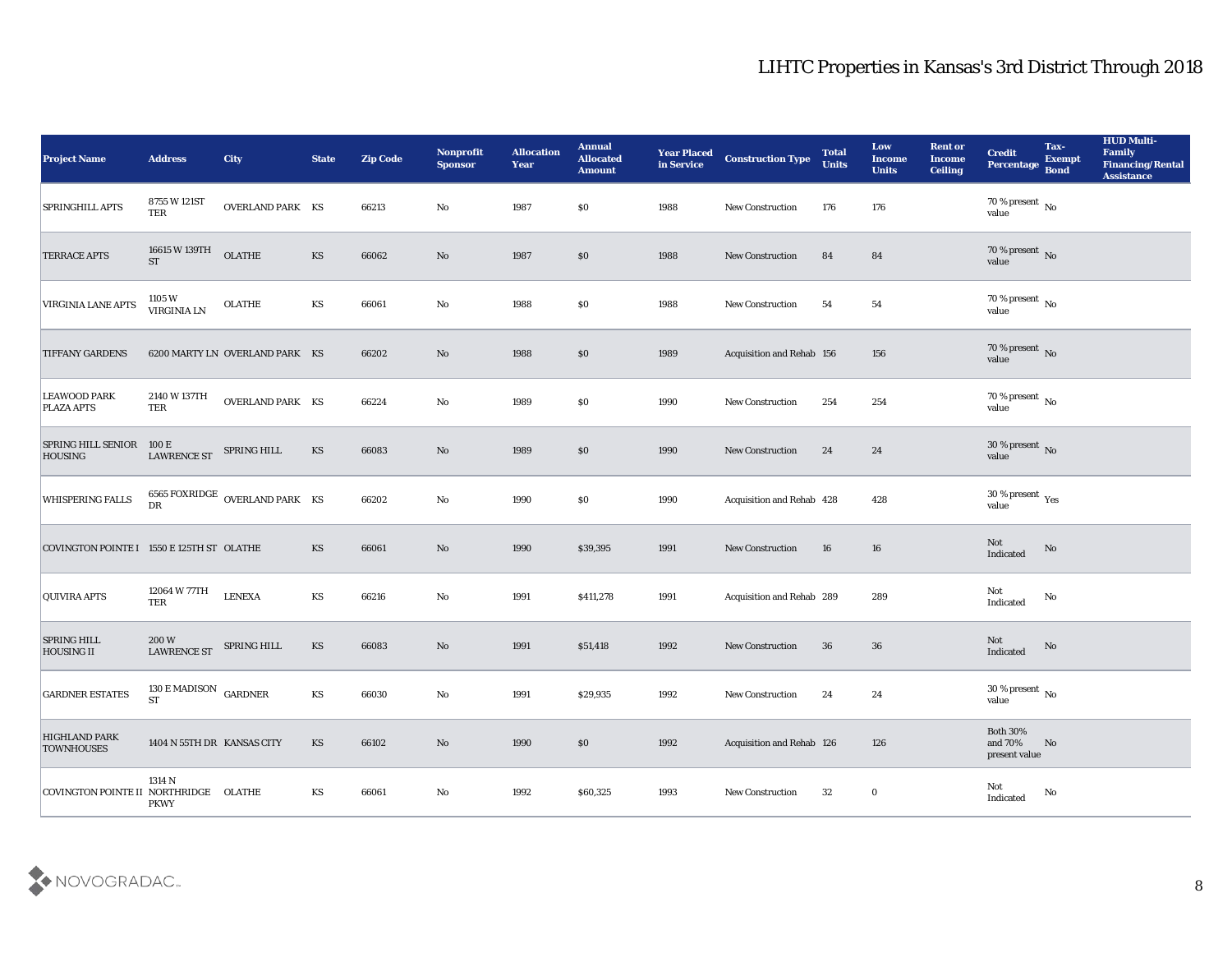| <b>Project Name</b>                         | <b>Address</b>                                   | <b>City</b>                    | <b>State</b>           | <b>Zip Code</b> | Nonprofit<br><b>Sponsor</b> | <b>Allocation</b><br><b>Year</b> | <b>Annual</b><br><b>Allocated</b><br><b>Amount</b> | <b>Year Placed</b><br>in Service | <b>Construction Type</b>  | <b>Total</b><br><b>Units</b> | Low<br><b>Income</b><br><b>Units</b> | <b>Rent or</b><br><b>Income</b><br><b>Ceiling</b> | <b>Credit</b><br>Percentage                | Tax-<br><b>Exempt</b><br><b>Bond</b> | <b>HUD Multi-</b><br>Family<br><b>Financing/Rental</b><br><b>Assistance</b> |
|---------------------------------------------|--------------------------------------------------|--------------------------------|------------------------|-----------------|-----------------------------|----------------------------------|----------------------------------------------------|----------------------------------|---------------------------|------------------------------|--------------------------------------|---------------------------------------------------|--------------------------------------------|--------------------------------------|-----------------------------------------------------------------------------|
| <b>SPRINGHILL APTS</b>                      | 8755 W 121ST<br>TER                              | OVERLAND PARK KS               |                        | 66213           | No                          | 1987                             | $\$0$                                              | 1988                             | <b>New Construction</b>   | 176                          | 176                                  |                                                   | $70\,\%$ present $\,$ No value             |                                      |                                                                             |
| <b>TERRACE APTS</b>                         | 16615 W 139TH<br><b>ST</b>                       | OLATHE                         | $\mathbf{K}\mathbf{S}$ | 66062           | No                          | 1987                             | $\$0$                                              | 1988                             | <b>New Construction</b>   | 84                           | 84                                   |                                                   | $70\,\%$ present $\,$ No value             |                                      |                                                                             |
| VIRGINIA LANE APTS                          | 1105 W<br>VIRGINIA LN                            | <b>OLATHE</b>                  | KS                     | 66061           | $\rm\thinspace No$          | 1988                             | \$0\$                                              | 1988                             | New Construction          | 54                           | 54                                   |                                                   | $70\,\%$ present $\,$ No value             |                                      |                                                                             |
| <b>TIFFANY GARDENS</b>                      |                                                  | 6200 MARTY LN OVERLAND PARK KS |                        | 66202           | No                          | 1988                             | \$0\$                                              | 1989                             | Acquisition and Rehab 156 |                              | 156                                  |                                                   | $70\,\%$ present $\,$ No value             |                                      |                                                                             |
| <b>LEAWOOD PARK</b><br><b>PLAZA APTS</b>    | 2140 W 137TH<br>TER                              | OVERLAND PARK KS               |                        | 66224           | No                          | 1989                             | \$0\$                                              | 1990                             | <b>New Construction</b>   | 254                          | 254                                  |                                                   | $70\,\%$ present $\,$ No value             |                                      |                                                                             |
| <b>SPRING HILL SENIOR</b><br><b>HOUSING</b> | 100 E<br><b>LAWRENCE ST</b>                      | SPRING HILL                    | KS                     | 66083           | No                          | 1989                             | $\$0$                                              | 1990                             | <b>New Construction</b>   | 24                           | 24                                   |                                                   | $30\,\%$ present $\,$ No value             |                                      |                                                                             |
| <b>WHISPERING FALLS</b>                     | DR                                               | 6565 FOXRIDGE OVERLAND PARK KS |                        | 66202           | No                          | 1990                             | $\$0$                                              | 1990                             | Acquisition and Rehab 428 |                              | 428                                  |                                                   | $30\,\%$ present $\,$ Yes value            |                                      |                                                                             |
| COVINGTON POINTE I 1550 E 125TH ST OLATHE   |                                                  |                                | KS                     | 66061           | No                          | 1990                             | \$39,395                                           | 1991                             | <b>New Construction</b>   | 16                           | 16                                   |                                                   | Not<br>Indicated                           | No                                   |                                                                             |
| <b>QUIVIRA APTS</b>                         | 12064 W 77TH<br><b>TER</b>                       | <b>LENEXA</b>                  | KS                     | 66216           | No                          | 1991                             | \$411,278                                          | 1991                             | Acquisition and Rehab 289 |                              | 289                                  |                                                   | Not<br>$\operatorname{Indicated}$          | No                                   |                                                                             |
| <b>SPRING HILL</b><br><b>HOUSING II</b>     | 200 W<br><b>LAWRENCE ST</b>                      | SPRING HILL                    | KS                     | 66083           | No                          | 1991                             | \$51,418                                           | 1992                             | <b>New Construction</b>   | 36                           | 36                                   |                                                   | Not<br>Indicated                           | No                                   |                                                                             |
| <b>GARDNER ESTATES</b>                      | 130 E MADISON $\,$ GARDNER<br>${\cal S}{\cal T}$ |                                | KS                     | 66030           | No                          | 1991                             | \$29,935                                           | 1992                             | <b>New Construction</b>   | 24                           | 24                                   |                                                   | 30 % present $\,$ No $\,$<br>value         |                                      |                                                                             |
| <b>HIGHLAND PARK</b><br><b>TOWNHOUSES</b>   | 1404 N 55TH DR KANSAS CITY                       |                                | KS                     | 66102           | $\mathbf {No}$              | 1990                             | \$0                                                | 1992                             | Acquisition and Rehab 126 |                              | 126                                  |                                                   | Both $30\%$<br>and $70\%$<br>present value | No                                   |                                                                             |
| COVINGTON POINTE II NORTHRIDGE OLATHE       | 1314 N<br><b>PKWY</b>                            |                                | KS                     | 66061           | $\mathbf{No}$               | 1992                             | \$60,325                                           | 1993                             | New Construction          | 32                           | $\bf{0}$                             |                                                   | Not<br>Indicated                           | No                                   |                                                                             |